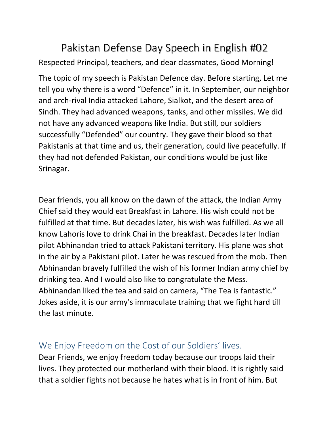## Pakistan Defense Day Speech in English #02 Respected Principal, teachers, and dear classmates, Good Morning!

The topic of my speech is Pakistan Defence day. Before starting, Let me tell you why there is a word "Defence" in it. In September, our neighbor and arch-rival India attacked Lahore, Sialkot, and the desert area of Sindh. They had advanced weapons, tanks, and other missiles. We did not have any advanced weapons like India. But still, our soldiers successfully "Defended" our country. They gave their blood so that Pakistanis at that time and us, their generation, could live peacefully. If they had not defended Pakistan, our conditions would be just like Srinagar.

Dear friends, you all know on the dawn of the attack, the Indian Army Chief said they would eat Breakfast in Lahore. His wish could not be fulfilled at that time. But decades later, his wish was fulfilled. As we all know Lahoris love to drink Chai in the breakfast. Decades later Indian pilot Abhinandan tried to attack Pakistani territory. His plane was shot in the air by a Pakistani pilot. Later he was rescued from the mob. Then Abhinandan bravely fulfilled the wish of his former Indian army chief by drinking tea. And I would also like to congratulate the Mess. Abhinandan liked the tea and said on camera, "The Tea is fantastic." Jokes aside, it is our army's immaculate training that we fight hard till the last minute.

## We Enjoy Freedom on the Cost of our Soldiers' lives.

Dear Friends, we enjoy freedom today because our troops laid their lives. They protected our motherland with their blood. It is rightly said that a soldier fights not because he hates what is in front of him. But